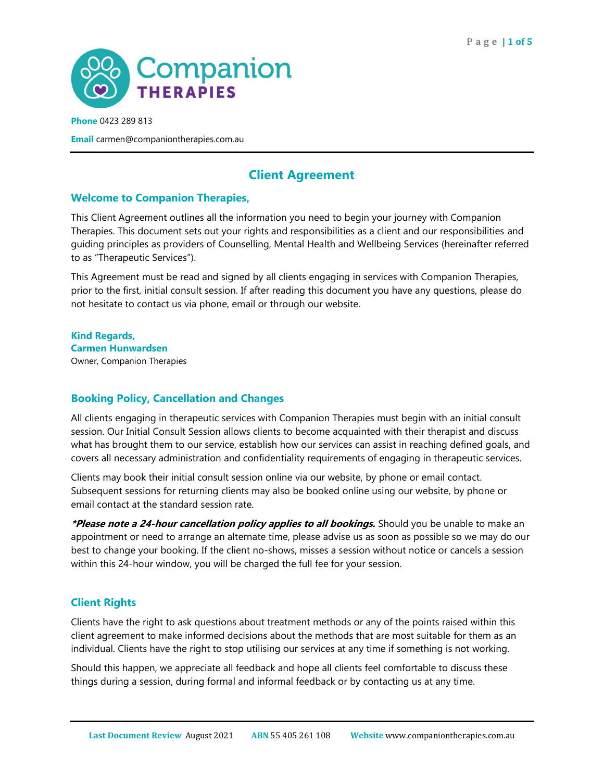

**Email** carmen@companiontherapies.com.au

# **Client Agreement**

#### **Welcome to Companion Therapies,**

This Client Agreement outlines all the information you need to begin your journey with Companion Therapies. This document sets out your rights and responsibilities as a client and our responsibilities and guiding principles as providers of Counselling, Mental Health and Wellbeing Services (hereinafter referred to as "Therapeutic Services").

This Agreement must be read and signed by all clients engaging in services with Companion Therapies, prior to the first, initial consult session. If after reading this document you have any questions, please do not hesitate to contact us via phone, email or through our website.

**Kind Regards, Carmen Hunwardsen** Owner, Companion Therapies

## **Booking Policy, Cancellation and Changes**

All clients engaging in therapeutic services with Companion Therapies must begin with an initial consult session. Our Initial Consult Session allows clients to become acquainted with their therapist and discuss what has brought them to our service, establish how our services can assist in reaching defined goals, and covers all necessary administration and confidentiality requirements of engaging in therapeutic services.

Clients may book their initial consult session online via our website, by phone or email contact. Subsequent sessions for returning clients may also be booked online using our website, by phone or email contact at the standard session rate.

**\*Please note a 24-hour cancellation policy applies to all bookings.** Should you be unable to make an appointment or need to arrange an alternate time, please advise us as soon as possible so we may do our best to change your booking. If the client no-shows, misses a session without notice or cancels a session within this 24-hour window, you will be charged the full fee for your session.

## **Client Rights**

Clients have the right to ask questions about treatment methods or any of the points raised within this client agreement to make informed decisions about the methods that are most suitable for them as an individual. Clients have the right to stop utilising our services at any time if something is not working.

Should this happen, we appreciate all feedback and hope all clients feel comfortable to discuss these things during a session, during formal and informal feedback or by contacting us at any time.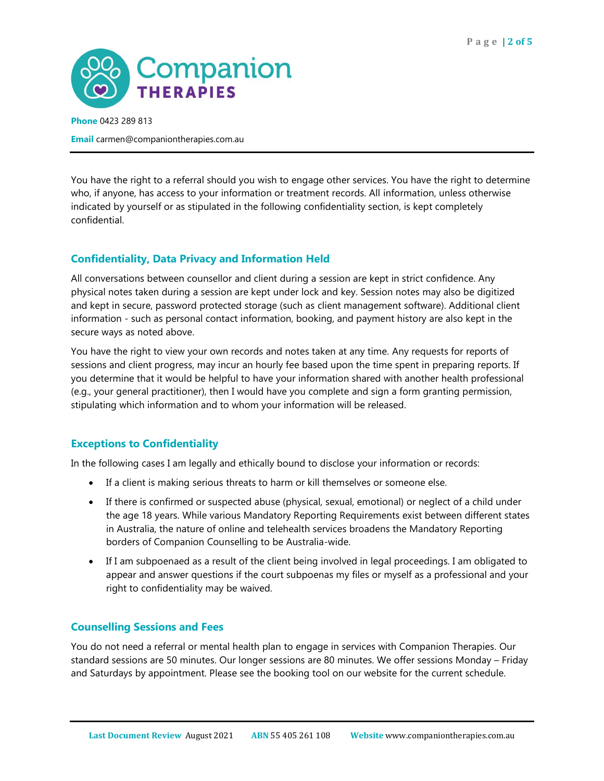

**Email** carmen@companiontherapies.com.au

You have the right to a referral should you wish to engage other services. You have the right to determine who, if anyone, has access to your information or treatment records. All information, unless otherwise indicated by yourself or as stipulated in the following confidentiality section, is kept completely confidential.

#### **Confidentiality, Data Privacy and Information Held**

All conversations between counsellor and client during a session are kept in strict confidence. Any physical notes taken during a session are kept under lock and key. Session notes may also be digitized and kept in secure, password protected storage (such as client management software). Additional client information - such as personal contact information, booking, and payment history are also kept in the secure ways as noted above.

You have the right to view your own records and notes taken at any time. Any requests for reports of sessions and client progress, may incur an hourly fee based upon the time spent in preparing reports. If you determine that it would be helpful to have your information shared with another health professional (e.g., your general practitioner), then I would have you complete and sign a form granting permission, stipulating which information and to whom your information will be released.

#### **Exceptions to Confidentiality**

In the following cases I am legally and ethically bound to disclose your information or records:

- If a client is making serious threats to harm or kill themselves or someone else.
- If there is confirmed or suspected abuse (physical, sexual, emotional) or neglect of a child under the age 18 years. While various Mandatory Reporting Requirements exist between different states in Australia, the nature of online and telehealth services broadens the Mandatory Reporting borders of Companion Counselling to be Australia-wide.
- If I am subpoenaed as a result of the client being involved in legal proceedings. I am obligated to appear and answer questions if the court subpoenas my files or myself as a professional and your right to confidentiality may be waived.

#### **Counselling Sessions and Fees**

You do not need a referral or mental health plan to engage in services with Companion Therapies. Our standard sessions are 50 minutes. Our longer sessions are 80 minutes. We offer sessions Monday – Friday and Saturdays by appointment. Please see the booking tool on our website for the current schedule.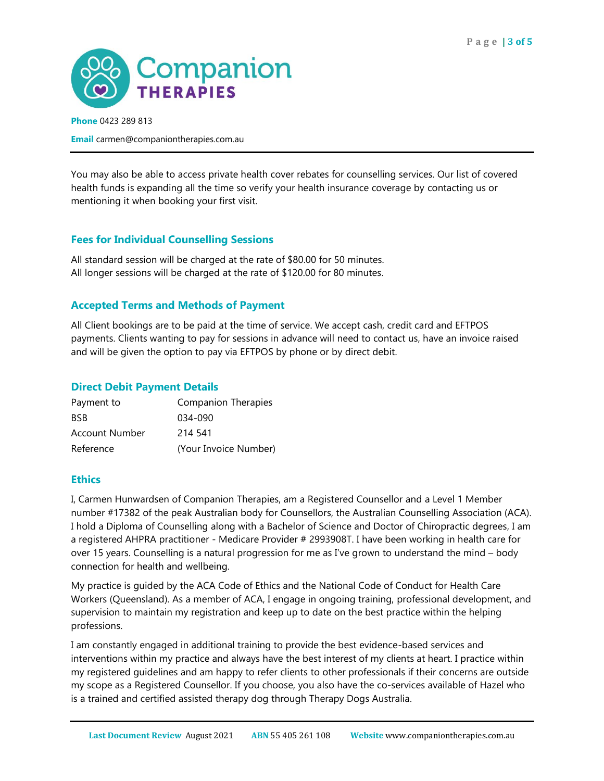

**Email** carmen@companiontherapies.com.au

You may also be able to access private health cover rebates for counselling services. Our list of covered health funds is expanding all the time so verify your health insurance coverage by contacting us or mentioning it when booking your first visit.

## **Fees for Individual Counselling Sessions**

All standard session will be charged at the rate of \$80.00 for 50 minutes. All longer sessions will be charged at the rate of \$120.00 for 80 minutes.

## **Accepted Terms and Methods of Payment**

All Client bookings are to be paid at the time of service. We accept cash, credit card and EFTPOS payments. Clients wanting to pay for sessions in advance will need to contact us, have an invoice raised and will be given the option to pay via EFTPOS by phone or by direct debit.

#### **Direct Debit Payment Details**

| Payment to     | <b>Companion Therapies</b> |  |
|----------------|----------------------------|--|
| <b>BSB</b>     | 034-090                    |  |
| Account Number | 214 541                    |  |
| Reference      | (Your Invoice Number)      |  |

## **Ethics**

I, Carmen Hunwardsen of Companion Therapies, am a Registered Counsellor and a Level 1 Member number #17382 of the peak Australian body for Counsellors, the Australian Counselling Association (ACA). I hold a Diploma of Counselling along with a Bachelor of Science and Doctor of Chiropractic degrees, I am a registered AHPRA practitioner - Medicare Provider # 2993908T. I have been working in health care for over 15 years. Counselling is a natural progression for me as I've grown to understand the mind – body connection for health and wellbeing.

My practice is guided by the ACA Code of Ethics and the National Code of Conduct for Health Care Workers (Queensland). As a member of ACA, I engage in ongoing training, professional development, and supervision to maintain my registration and keep up to date on the best practice within the helping professions.

I am constantly engaged in additional training to provide the best evidence-based services and interventions within my practice and always have the best interest of my clients at heart. I practice within my registered guidelines and am happy to refer clients to other professionals if their concerns are outside my scope as a Registered Counsellor. If you choose, you also have the co-services available of Hazel who is a trained and certified assisted therapy dog through Therapy Dogs Australia.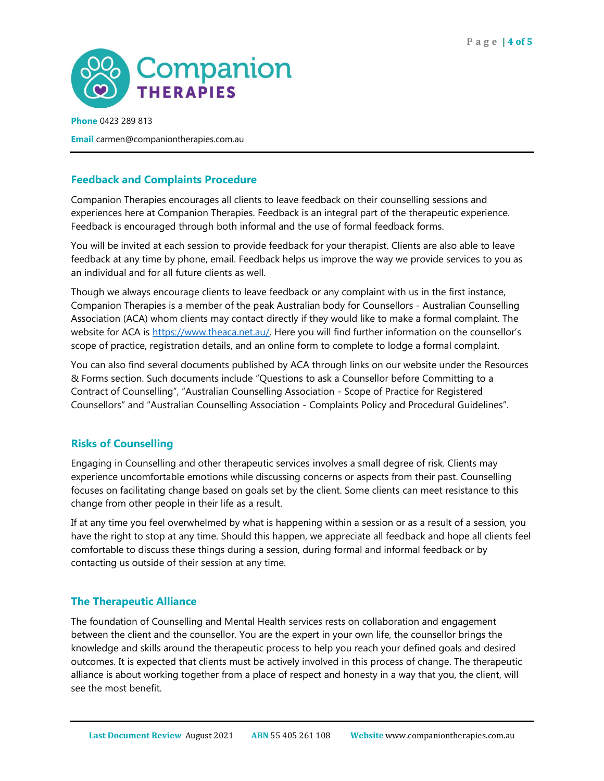

**Email** carmen@companiontherapies.com.au

#### **Feedback and Complaints Procedure**

Companion Therapies encourages all clients to leave feedback on their counselling sessions and experiences here at Companion Therapies. Feedback is an integral part of the therapeutic experience. Feedback is encouraged through both informal and the use of formal feedback forms.

You will be invited at each session to provide feedback for your therapist. Clients are also able to leave feedback at any time by phone, email. Feedback helps us improve the way we provide services to you as an individual and for all future clients as well.

Though we always encourage clients to leave feedback or any complaint with us in the first instance, Companion Therapies is a member of the peak Australian body for Counsellors - Australian Counselling Association (ACA) whom clients may contact directly if they would like to make a formal complaint. The website for ACA is [https://www.theaca.net.au/.](https://www.theaca.net.au/) Here you will find further information on the counsellor's scope of practice, registration details, and an online form to complete to lodge a formal complaint.

You can also find several documents published by ACA through links on our website under the Resources & Forms section. Such documents include "Questions to ask a Counsellor before Committing to a Contract of Counselling", "Australian Counselling Association - Scope of Practice for Registered Counsellors" and "Australian Counselling Association - Complaints Policy and Procedural Guidelines".

#### **Risks of Counselling**

Engaging in Counselling and other therapeutic services involves a small degree of risk. Clients may experience uncomfortable emotions while discussing concerns or aspects from their past. Counselling focuses on facilitating change based on goals set by the client. Some clients can meet resistance to this change from other people in their life as a result.

If at any time you feel overwhelmed by what is happening within a session or as a result of a session, you have the right to stop at any time. Should this happen, we appreciate all feedback and hope all clients feel comfortable to discuss these things during a session, during formal and informal feedback or by contacting us outside of their session at any time.

#### **The Therapeutic Alliance**

The foundation of Counselling and Mental Health services rests on collaboration and engagement between the client and the counsellor. You are the expert in your own life, the counsellor brings the knowledge and skills around the therapeutic process to help you reach your defined goals and desired outcomes. It is expected that clients must be actively involved in this process of change. The therapeutic alliance is about working together from a place of respect and honesty in a way that you, the client, will see the most benefit.